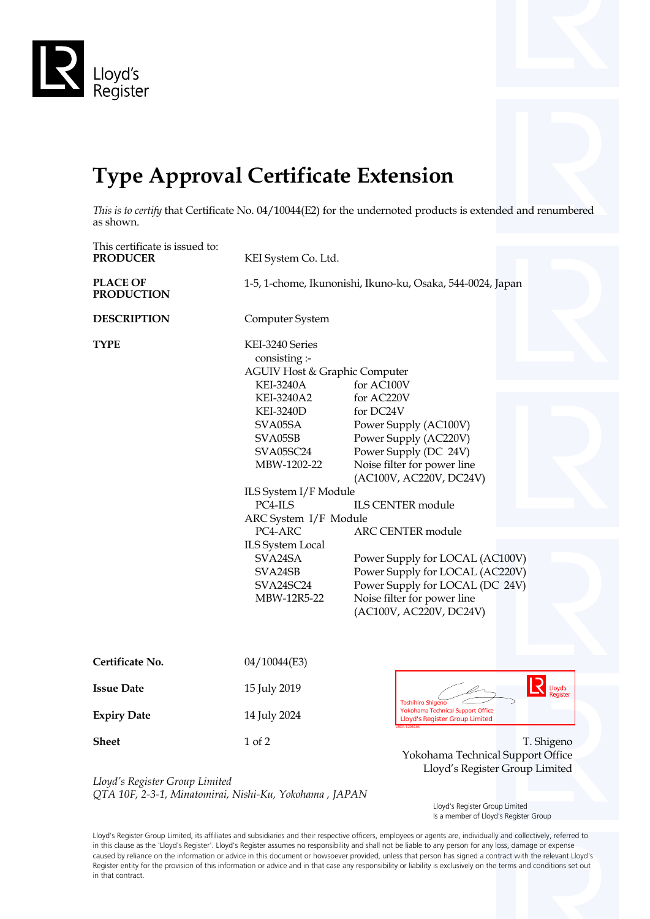

## **Type Approval Certificate Extension**

*This is to certify* that Certificate No. 04/10044(E2) for the undernoted products is extended and renumbered as shown.

| This certificate is issued to:       |                                                                                                                                                                                                                                                                                                                                       |                                                                                                                                                                                                                                                                                                                                                                                                       |
|--------------------------------------|---------------------------------------------------------------------------------------------------------------------------------------------------------------------------------------------------------------------------------------------------------------------------------------------------------------------------------------|-------------------------------------------------------------------------------------------------------------------------------------------------------------------------------------------------------------------------------------------------------------------------------------------------------------------------------------------------------------------------------------------------------|
| <b>PRODUCER</b>                      | KEI System Co. Ltd.                                                                                                                                                                                                                                                                                                                   |                                                                                                                                                                                                                                                                                                                                                                                                       |
| <b>PLACE OF</b><br><b>PRODUCTION</b> |                                                                                                                                                                                                                                                                                                                                       | 1-5, 1-chome, Ikunonishi, Ikuno-ku, Osaka, 544-0024, Japan                                                                                                                                                                                                                                                                                                                                            |
| <b>DESCRIPTION</b>                   | Computer System                                                                                                                                                                                                                                                                                                                       |                                                                                                                                                                                                                                                                                                                                                                                                       |
| <b>TYPE</b>                          | KEI-3240 Series<br>consisting :-<br>AGUIV Host & Graphic Computer<br><b>KEI-3240A</b><br>KEI-3240A2<br><b>KEI-3240D</b><br>SVA05SA<br>SVA05SB<br>SVA05SC24<br>MBW-1202-22<br>ILS System I/F Module<br>PC4-ILS<br>ARC System I/F Module<br>PC4-ARC<br><b>ILS System Local</b><br>SVA24SA<br>SVA24SB<br><b>SVA24SC24</b><br>MBW-12R5-22 | for AC100V<br>for AC220V<br>for DC24V<br>Power Supply (AC100V)<br>Power Supply (AC220V)<br>Power Supply (DC 24V)<br>Noise filter for power line<br>(AC100V, AC220V, DC24V)<br><b>ILS CENTER module</b><br><b>ARC CENTER module</b><br>Power Supply for LOCAL (AC100V)<br>Power Supply for LOCAL (AC220V)<br>Power Supply for LOCAL (DC 24V)<br>Noise filter for power line<br>(AC100V, AC220V, DC24V) |
| Certificate No.                      | 04/10044(E3)                                                                                                                                                                                                                                                                                                                          |                                                                                                                                                                                                                                                                                                                                                                                                       |
| <b>Issue Date</b>                    | 15 July 2019                                                                                                                                                                                                                                                                                                                          | Lloyd's<br><b>Toshihiro Shigeno</b>                                                                                                                                                                                                                                                                                                                                                                   |
| <b>Expiry Date</b>                   | 14 July 2024                                                                                                                                                                                                                                                                                                                          | Yokohama Technical Support Office<br><b>Lloyd's Register Group Limited</b>                                                                                                                                                                                                                                                                                                                            |
| <b>Sheet</b>                         | 1 of 2                                                                                                                                                                                                                                                                                                                                | T. Shigeno                                                                                                                                                                                                                                                                                                                                                                                            |
|                                      |                                                                                                                                                                                                                                                                                                                                       | Yokohama Technical Support Office                                                                                                                                                                                                                                                                                                                                                                     |
|                                      |                                                                                                                                                                                                                                                                                                                                       | Lloyd's Register Group Limited                                                                                                                                                                                                                                                                                                                                                                        |

*Lloyd's Register Group Limited QTA 10F, 2-3-1, Minatomirai, Nishi-Ku, Yokohama , JAPAN*

> Lloyd's Register Group Limited Is a member of Lloyd's Register Group

Lloyd's Register Group Limited, its affiliates and subsidiaries and their respective officers, employees or agents are, individually and collectively, referred to in this clause as the 'Lloyd's Register'. Lloyd's Register assumes no responsibility and shall not be liable to any person for any loss, damage or expense caused by reliance on the information or advice in this document or howsoever provided, unless that person has signed a contract with the relevant Lloyd's Register entity for the provision of this information or advice and in that case any responsibility or liability is exclusively on the terms and conditions set out in that contract.